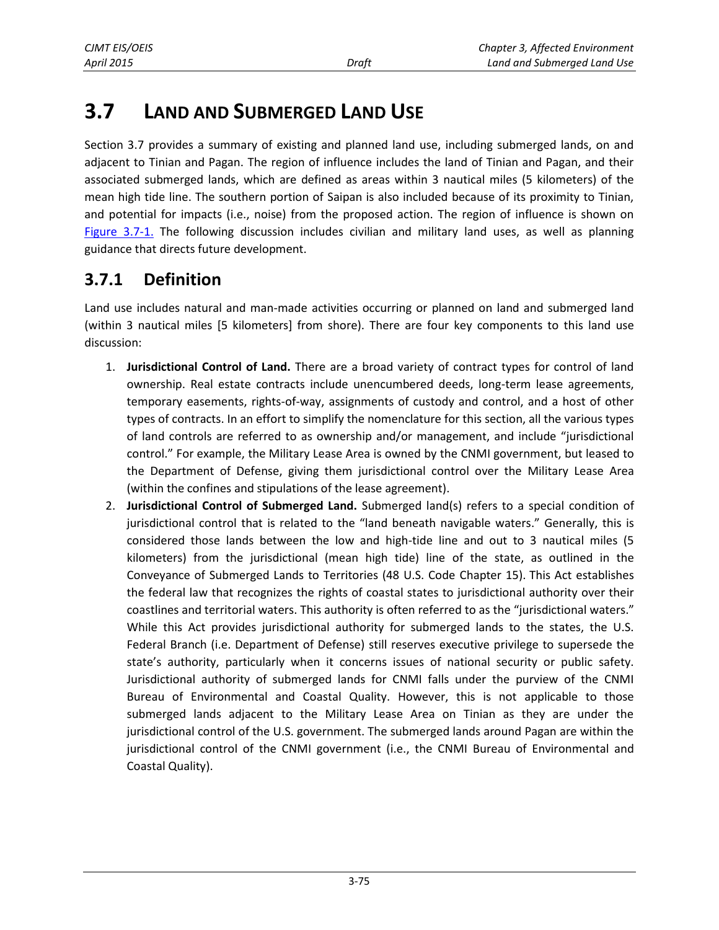# **3.7 LAND AND SUBMERGED LAND USE**

Section 3.7 provides a summary of existing and planned land use, including submerged lands, on and adjacent to Tinian and Pagan. The region of influence includes the land of Tinian and Pagan, and their associated submerged lands, which are defined as areas within 3 nautical miles (5 kilometers) of the mean high tide line. The southern portion of Saipan is also included because of its proximity to Tinian, and potential for impacts (i.e., noise) from the proposed action. The region of influence is shown on [Figure 3.7-1.](#page-1-0) The following discussion includes civilian and military land uses, as well as planning guidance that directs future development.

## **3.7.1 Definition**

Land use includes natural and man-made activities occurring or planned on land and submerged land (within 3 nautical miles [5 kilometers] from shore). There are four key components to this land use discussion:

- 1. **Jurisdictional Control of Land.** There are a broad variety of contract types for control of land ownership. Real estate contracts include unencumbered deeds, long-term lease agreements, temporary easements, rights-of-way, assignments of custody and control, and a host of other types of contracts. In an effort to simplify the nomenclature for this section, all the various types of land controls are referred to as ownership and/or management, and include "jurisdictional control." For example, the Military Lease Area is owned by the CNMI government, but leased to the Department of Defense, giving them jurisdictional control over the Military Lease Area (within the confines and stipulations of the lease agreement).
- 2. **Jurisdictional Control of Submerged Land.** Submerged land(s) refers to a special condition of jurisdictional control that is related to the "land beneath navigable waters." Generally, this is considered those lands between the low and high-tide line and out to 3 nautical miles (5 kilometers) from the jurisdictional (mean high tide) line of the state, as outlined in the Conveyance of Submerged Lands to Territories (48 U.S. Code Chapter 15). This Act establishes the federal law that recognizes the rights of coastal states to jurisdictional authority over their coastlines and territorial waters. This authority is often referred to as the "jurisdictional waters." While this Act provides jurisdictional authority for submerged lands to the states, the U.S. Federal Branch (i.e. Department of Defense) still reserves executive privilege to supersede the state's authority, particularly when it concerns issues of national security or public safety. Jurisdictional authority of submerged lands for CNMI falls under the purview of the CNMI Bureau of Environmental and Coastal Quality. However, this is not applicable to those submerged lands adjacent to the Military Lease Area on Tinian as they are under the jurisdictional control of the U.S. government. The submerged lands around Pagan are within the jurisdictional control of the CNMI government (i.e., the CNMI Bureau of Environmental and Coastal Quality).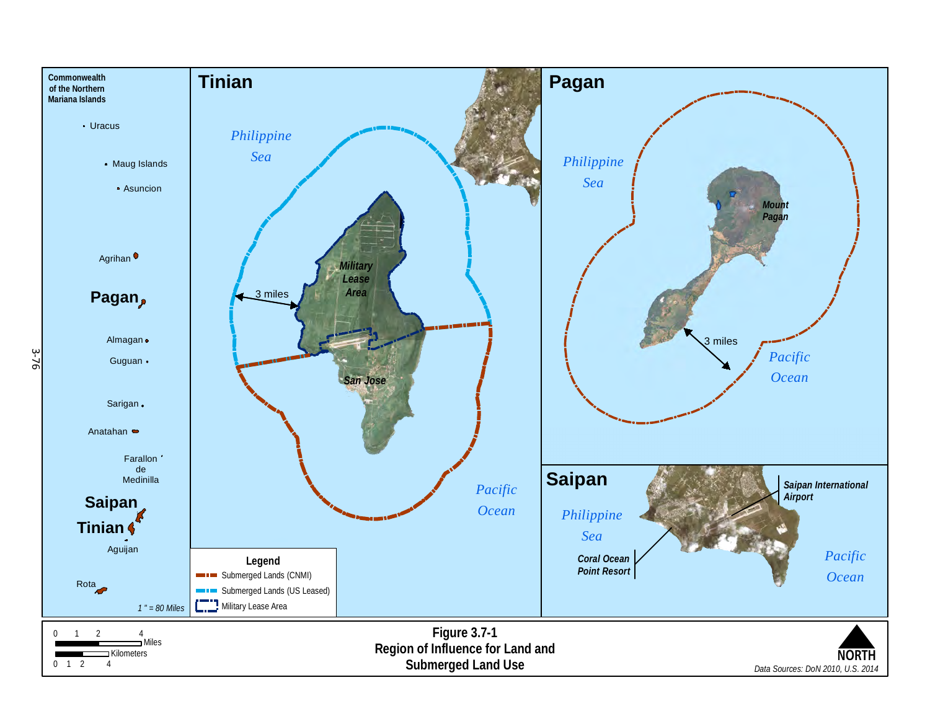<span id="page-1-0"></span>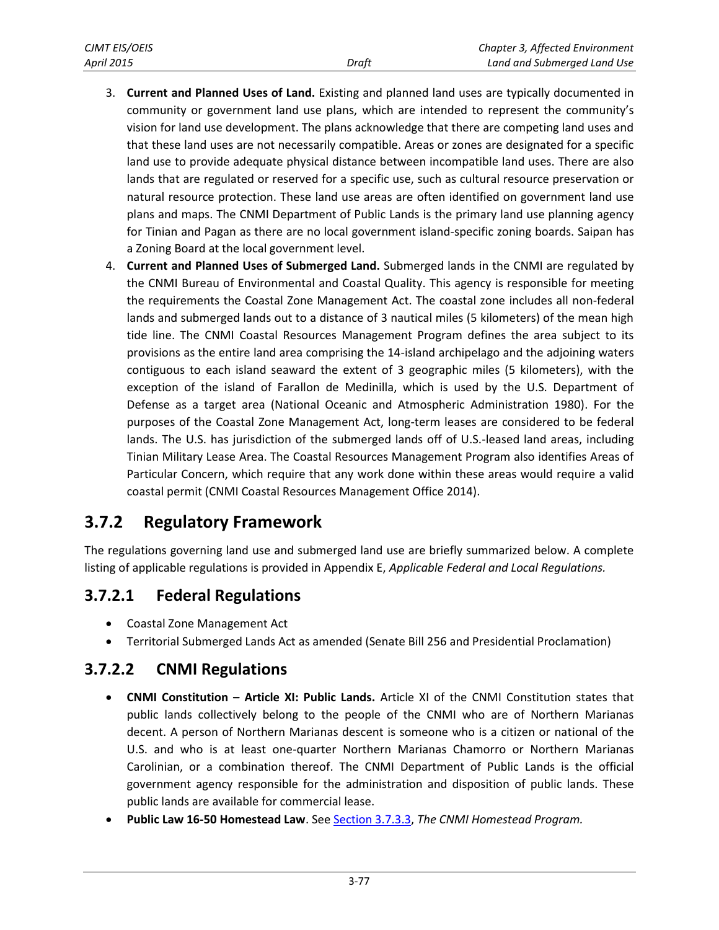| CJMT EIS/OEIS |       | Chapter 3, Affected Environment |
|---------------|-------|---------------------------------|
| April 2015    | Draft | Land and Submerged Land Use     |

- 3. **Current and Planned Uses of Land.** Existing and planned land uses are typically documented in community or government land use plans, which are intended to represent the community's vision for land use development. The plans acknowledge that there are competing land uses and that these land uses are not necessarily compatible. Areas or zones are designated for a specific land use to provide adequate physical distance between incompatible land uses. There are also lands that are regulated or reserved for a specific use, such as cultural resource preservation or natural resource protection. These land use areas are often identified on government land use plans and maps. The CNMI Department of Public Lands is the primary land use planning agency for Tinian and Pagan as there are no local government island-specific zoning boards. Saipan has a Zoning Board at the local government level.
- 4. **Current and Planned Uses of Submerged Land.** Submerged lands in the CNMI are regulated by the CNMI Bureau of Environmental and Coastal Quality. This agency is responsible for meeting the requirements the Coastal Zone Management Act. The coastal zone includes all non-federal lands and submerged lands out to a distance of 3 nautical miles (5 kilometers) of the mean high tide line. The CNMI Coastal Resources Management Program defines the area subject to its provisions as the entire land area comprising the 14-island archipelago and the adjoining waters contiguous to each island seaward the extent of 3 geographic miles (5 kilometers), with the exception of the island of Farallon de Medinilla, which is used by the U.S. Department of Defense as a target area (National Oceanic and Atmospheric Administration 1980). For the purposes of the Coastal Zone Management Act, long-term leases are considered to be federal lands. The U.S. has jurisdiction of the submerged lands off of U.S.-leased land areas, including Tinian Military Lease Area. The Coastal Resources Management Program also identifies Areas of Particular Concern, which require that any work done within these areas would require a valid coastal permit (CNMI Coastal Resources Management Office 2014).

## **3.7.2 Regulatory Framework**

The regulations governing land use and submerged land use are briefly summarized below. A complete listing of applicable regulations is provided in Appendix E, *Applicable Federal and Local Regulations.*

## **3.7.2.1 Federal Regulations**

- Coastal Zone Management Act
- Territorial Submerged Lands Act as amended (Senate Bill 256 and Presidential Proclamation)

### **3.7.2.2 CNMI Regulations**

- **CNMI Constitution – Article XI: Public Lands.** Article XI of the CNMI Constitution states that public lands collectively belong to the people of the CNMI who are of Northern Marianas decent. A person of Northern Marianas descent is someone who is a citizen or national of the U.S. and who is at least one-quarter Northern Marianas Chamorro or Northern Marianas Carolinian, or a combination thereof. The CNMI Department of Public Lands is the official government agency responsible for the administration and disposition of public lands. These public lands are available for commercial lease.
- **Public Law 16-50 Homestead Law**. See [Section 3.7.3.3,](#page-5-0) *The CNMI Homestead Program.*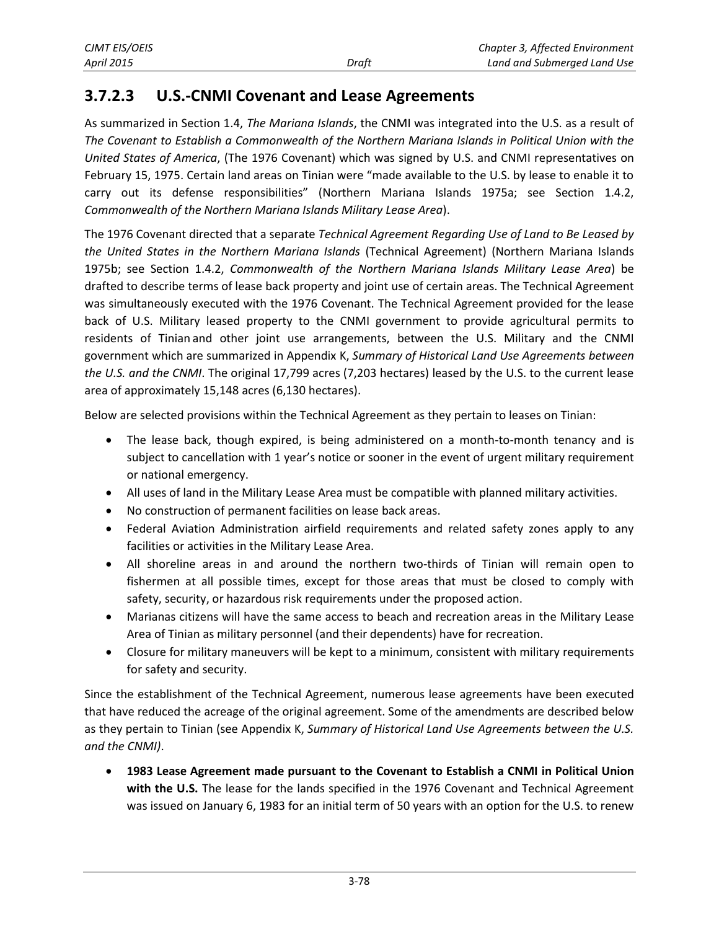### <span id="page-3-0"></span>**3.7.2.3 U.S.-CNMI Covenant and Lease Agreements**

As summarized in Section 1.4, *The Mariana Islands*, the CNMI was integrated into the U.S. as a result of *The Covenant to Establish a Commonwealth of the Northern Mariana Islands in Political Union with the United States of America*, (The 1976 Covenant) which was signed by U.S. and CNMI representatives on February 15, 1975. Certain land areas on Tinian were "made available to the U.S. by lease to enable it to carry out its defense responsibilities" (Northern Mariana Islands 1975a; see Section 1.4.2, *Commonwealth of the Northern Mariana Islands Military Lease Area*).

The 1976 Covenant directed that a separate *Technical Agreement Regarding Use of Land to Be Leased by the United States in the Northern Mariana Islands* (Technical Agreement) (Northern Mariana Islands 1975b; see Section 1.4.2, *Commonwealth of the Northern Mariana Islands Military Lease Area*) be drafted to describe terms of lease back property and joint use of certain areas. The Technical Agreement was simultaneously executed with the 1976 Covenant. The Technical Agreement provided for the lease back of U.S. Military leased property to the CNMI government to provide agricultural permits to residents of Tinian and other joint use arrangements, between the U.S. Military and the CNMI government which are summarized in Appendix K, *Summary of Historical Land Use Agreements between the U.S. and the CNMI*. The original 17,799 acres (7,203 hectares) leased by the U.S. to the current lease area of approximately 15,148 acres (6,130 hectares).

Below are selected provisions within the Technical Agreement as they pertain to leases on Tinian:

- The lease back, though expired, is being administered on a month-to-month tenancy and is subject to cancellation with 1 year's notice or sooner in the event of urgent military requirement or national emergency.
- All uses of land in the Military Lease Area must be compatible with planned military activities.
- No construction of permanent facilities on lease back areas.
- Federal Aviation Administration airfield requirements and related safety zones apply to any facilities or activities in the Military Lease Area.
- All shoreline areas in and around the northern two-thirds of Tinian will remain open to fishermen at all possible times, except for those areas that must be closed to comply with safety, security, or hazardous risk requirements under the proposed action.
- Marianas citizens will have the same access to beach and recreation areas in the Military Lease Area of Tinian as military personnel (and their dependents) have for recreation.
- Closure for military maneuvers will be kept to a minimum, consistent with military requirements for safety and security.

Since the establishment of the Technical Agreement, numerous lease agreements have been executed that have reduced the acreage of the original agreement. Some of the amendments are described below as they pertain to Tinian (see Appendix K, *Summary of Historical Land Use Agreements between the U.S. and the CNMI)*.

 **1983 Lease Agreement made pursuant to the Covenant to Establish a CNMI in Political Union with the U.S.** The lease for the lands specified in the 1976 Covenant and Technical Agreement was issued on January 6, 1983 for an initial term of 50 years with an option for the U.S. to renew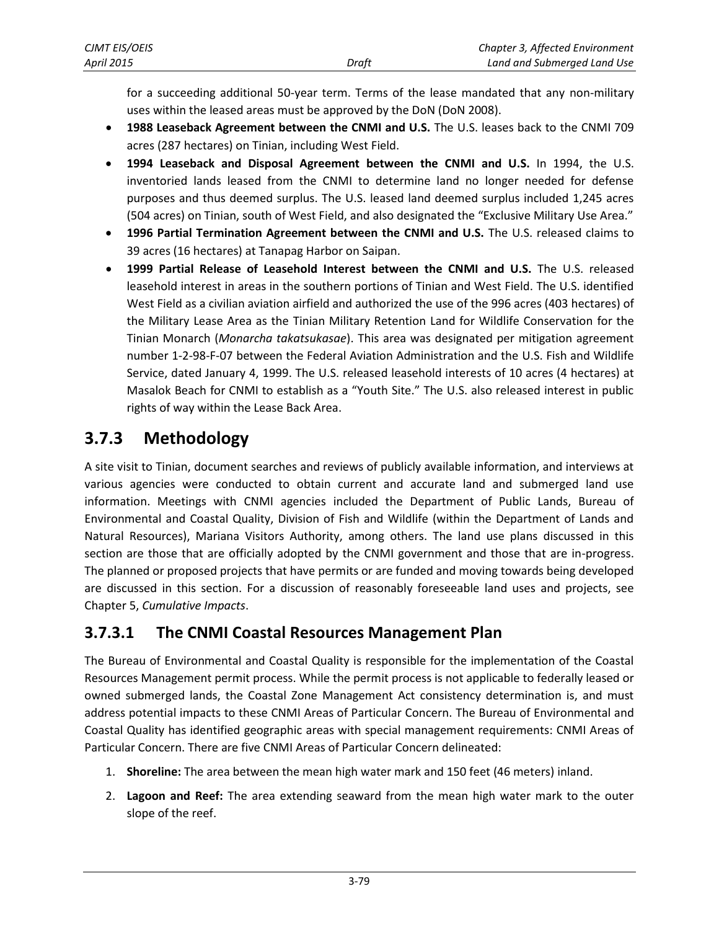for a succeeding additional 50-year term. Terms of the lease mandated that any non-military uses within the leased areas must be approved by the DoN (DoN 2008).

- **1988 Leaseback Agreement between the CNMI and U.S.** The U.S. leases back to the CNMI 709 acres (287 hectares) on Tinian, including West Field.
- **1994 Leaseback and Disposal Agreement between the CNMI and U.S.** In 1994, the U.S. inventoried lands leased from the CNMI to determine land no longer needed for defense purposes and thus deemed surplus. The U.S. leased land deemed surplus included 1,245 acres (504 acres) on Tinian, south of West Field, and also designated the "Exclusive Military Use Area."
- **1996 Partial Termination Agreement between the CNMI and U.S.** The U.S. released claims to 39 acres (16 hectares) at Tanapag Harbor on Saipan.
- **1999 Partial Release of Leasehold Interest between the CNMI and U.S.** The U.S. released leasehold interest in areas in the southern portions of Tinian and West Field. The U.S. identified West Field as a civilian aviation airfield and authorized the use of the 996 acres (403 hectares) of the Military Lease Area as the Tinian Military Retention Land for Wildlife Conservation for the Tinian Monarch (*Monarcha takatsukasae*). This area was designated per mitigation agreement number 1-2-98-F-07 between the Federal Aviation Administration and the U.S. Fish and Wildlife Service, dated January 4, 1999. The U.S. released leasehold interests of 10 acres (4 hectares) at Masalok Beach for CNMI to establish as a "Youth Site." The U.S. also released interest in public rights of way within the Lease Back Area.

## **3.7.3 Methodology**

A site visit to Tinian, document searches and reviews of publicly available information, and interviews at various agencies were conducted to obtain current and accurate land and submerged land use information. Meetings with CNMI agencies included the Department of Public Lands, Bureau of Environmental and Coastal Quality, Division of Fish and Wildlife (within the Department of Lands and Natural Resources), Mariana Visitors Authority, among others. The land use plans discussed in this section are those that are officially adopted by the CNMI government and those that are in-progress. The planned or proposed projects that have permits or are funded and moving towards being developed are discussed in this section. For a discussion of reasonably foreseeable land uses and projects, see Chapter 5, *Cumulative Impacts*.

## **3.7.3.1 The CNMI Coastal Resources Management Plan**

The Bureau of Environmental and Coastal Quality is responsible for the implementation of the Coastal Resources Management permit process. While the permit process is not applicable to federally leased or owned submerged lands, the Coastal Zone Management Act consistency determination is, and must address potential impacts to these CNMI Areas of Particular Concern. The Bureau of Environmental and Coastal Quality has identified geographic areas with special management requirements: CNMI Areas of Particular Concern. There are five CNMI Areas of Particular Concern delineated:

- 1. **Shoreline:** The area between the mean high water mark and 150 feet (46 meters) inland.
- 2. **Lagoon and Reef:** The area extending seaward from the mean high water mark to the outer slope of the reef.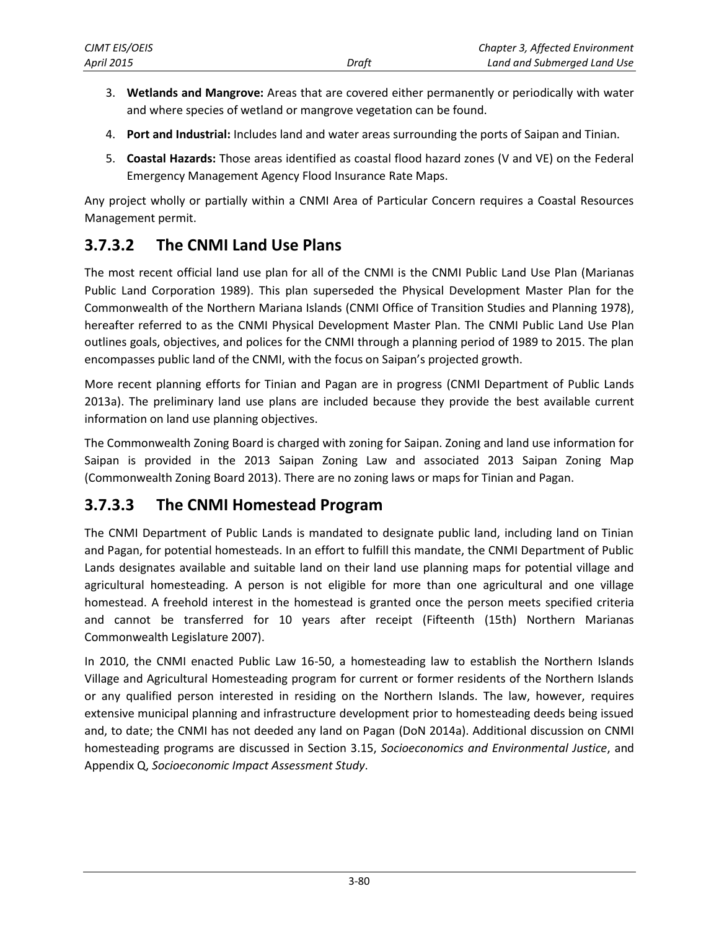- 3. **Wetlands and Mangrove:** Areas that are covered either permanently or periodically with water and where species of wetland or mangrove vegetation can be found.
- 4. **Port and Industrial:** Includes land and water areas surrounding the ports of Saipan and Tinian.
- 5. **Coastal Hazards:** Those areas identified as coastal flood hazard zones (V and VE) on the Federal Emergency Management Agency Flood Insurance Rate Maps.

Any project wholly or partially within a CNMI Area of Particular Concern requires a Coastal Resources Management permit.

## **3.7.3.2 The CNMI Land Use Plans**

The most recent official land use plan for all of the CNMI is the CNMI Public Land Use Plan (Marianas Public Land Corporation 1989). This plan superseded the Physical Development Master Plan for the Commonwealth of the Northern Mariana Islands (CNMI Office of Transition Studies and Planning 1978), hereafter referred to as the CNMI Physical Development Master Plan. The CNMI Public Land Use Plan outlines goals, objectives, and polices for the CNMI through a planning period of 1989 to 2015. The plan encompasses public land of the CNMI, with the focus on Saipan's projected growth.

More recent planning efforts for Tinian and Pagan are in progress (CNMI Department of Public Lands 2013a). The preliminary land use plans are included because they provide the best available current information on land use planning objectives.

The Commonwealth Zoning Board is charged with zoning for Saipan. Zoning and land use information for Saipan is provided in the 2013 Saipan Zoning Law and associated 2013 Saipan Zoning Map (Commonwealth Zoning Board 2013). There are no zoning laws or maps for Tinian and Pagan.

## <span id="page-5-0"></span>**3.7.3.3 The CNMI Homestead Program**

The CNMI Department of Public Lands is mandated to designate public land, including land on Tinian and Pagan, for potential homesteads. In an effort to fulfill this mandate, the CNMI Department of Public Lands designates available and suitable land on their land use planning maps for potential village and agricultural homesteading. A person is not eligible for more than one agricultural and one village homestead. A freehold interest in the homestead is granted once the person meets specified criteria and cannot be transferred for 10 years after receipt (Fifteenth (15th) Northern Marianas Commonwealth Legislature 2007).

In 2010, the CNMI enacted Public Law 16-50, a homesteading law to establish the Northern Islands Village and Agricultural Homesteading program for current or former residents of the Northern Islands or any qualified person interested in residing on the Northern Islands. The law, however, requires extensive municipal planning and infrastructure development prior to homesteading deeds being issued and, to date; the CNMI has not deeded any land on Pagan (DoN 2014a). Additional discussion on CNMI homesteading programs are discussed in Section 3.15, *Socioeconomics and Environmental Justice*, and Appendix Q, *Socioeconomic Impact Assessment Study*.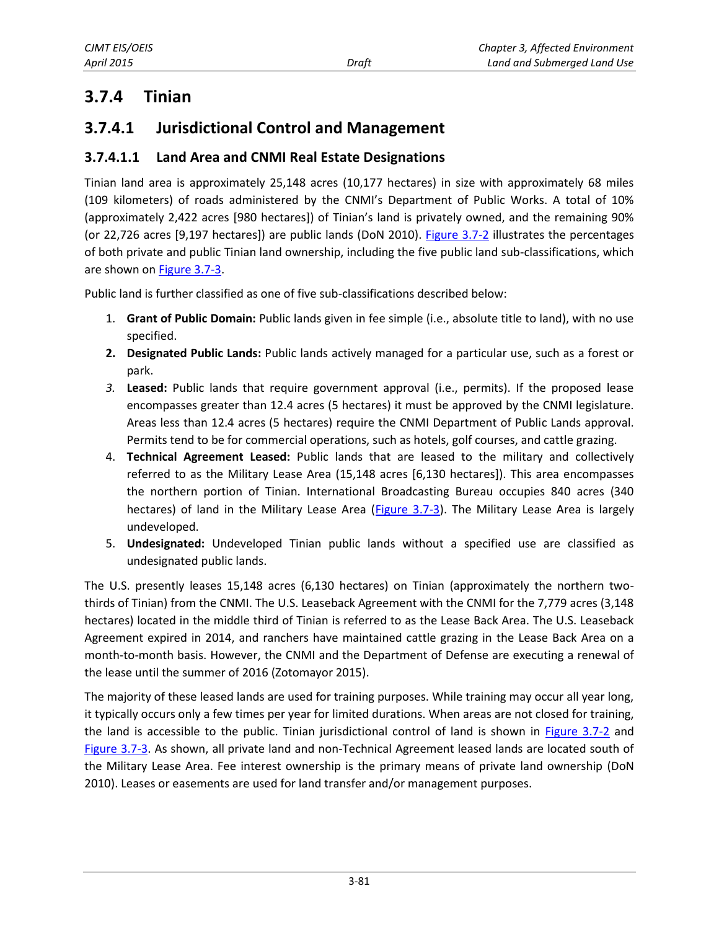## **3.7.4 Tinian**

## **3.7.4.1 Jurisdictional Control and Management**

#### **3.7.4.1.1 Land Area and CNMI Real Estate Designations**

Tinian land area is approximately 25,148 acres (10,177 hectares) in size with approximately 68 miles (109 kilometers) of roads administered by the CNMI's Department of Public Works. A total of 10% (approximately 2,422 acres [980 hectares]) of Tinian's land is privately owned, and the remaining 90% (or 22,726 acres [9,197 hectares]) are public lands (DoN 2010). [Figure 3.7-2](#page-7-0) illustrates the percentages of both private and public Tinian land ownership, including the five public land sub-classifications, which are shown on [Figure 3.7-3.](#page-8-0)

Public land is further classified as one of five sub-classifications described below:

- 1. **Grant of Public Domain:** Public lands given in fee simple (i.e., absolute title to land), with no use specified.
- **2. Designated Public Lands:** Public lands actively managed for a particular use, such as a forest or park.
- *3.* **Leased:** Public lands that require government approval (i.e., permits). If the proposed lease encompasses greater than 12.4 acres (5 hectares) it must be approved by the CNMI legislature. Areas less than 12.4 acres (5 hectares) require the CNMI Department of Public Lands approval. Permits tend to be for commercial operations, such as hotels, golf courses, and cattle grazing.
- 4. **Technical Agreement Leased:** Public lands that are leased to the military and collectively referred to as the Military Lease Area (15,148 acres [6,130 hectares]). This area encompasses the northern portion of Tinian. International Broadcasting Bureau occupies 840 acres (340 hectares) of land in the Military Lease Area [\(Figure 3.7-3\)](#page-8-0). The Military Lease Area is largely undeveloped.
- 5. **Undesignated:** Undeveloped Tinian public lands without a specified use are classified as undesignated public lands.

The U.S. presently leases 15,148 acres (6,130 hectares) on Tinian (approximately the northern twothirds of Tinian) from the CNMI. The U.S. Leaseback Agreement with the CNMI for the 7,779 acres (3,148 hectares) located in the middle third of Tinian is referred to as the Lease Back Area. The U.S. Leaseback Agreement expired in 2014, and ranchers have maintained cattle grazing in the Lease Back Area on a month-to-month basis. However, the CNMI and the Department of Defense are executing a renewal of the lease until the summer of 2016 (Zotomayor 2015).

The majority of these leased lands are used for training purposes. While training may occur all year long, it typically occurs only a few times per year for limited durations. When areas are not closed for training, the land is accessible to the public. Tinian jurisdictional control of land is shown in [Figure 3.7-2](#page-7-0) and [Figure 3.7-3.](#page-8-0) As shown, all private land and non-Technical Agreement leased lands are located south of the Military Lease Area. Fee interest ownership is the primary means of private land ownership (DoN 2010). Leases or easements are used for land transfer and/or management purposes.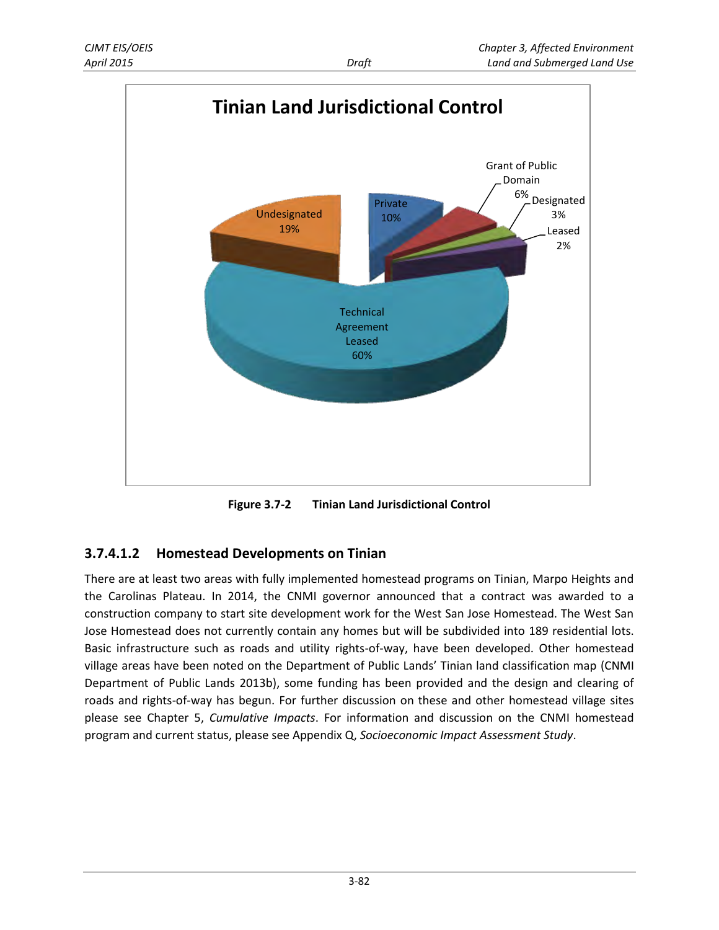

<span id="page-7-0"></span>**Figure 3.7-2 Tinian Land Jurisdictional Control** 

#### **3.7.4.1.2 Homestead Developments on Tinian**

There are at least two areas with fully implemented homestead programs on Tinian, Marpo Heights and the Carolinas Plateau. In 2014, the CNMI governor announced that a contract was awarded to a construction company to start site development work for the West San Jose Homestead. The West San Jose Homestead does not currently contain any homes but will be subdivided into 189 residential lots. Basic infrastructure such as roads and utility rights-of-way, have been developed. Other homestead village areas have been noted on the Department of Public Lands' Tinian land classification map (CNMI Department of Public Lands 2013b), some funding has been provided and the design and clearing of roads and rights-of-way has begun. For further discussion on these and other homestead village sites please see Chapter 5, *Cumulative Impacts*. For information and discussion on the CNMI homestead program and current status, please see Appendix Q, *Socioeconomic Impact Assessment Study*.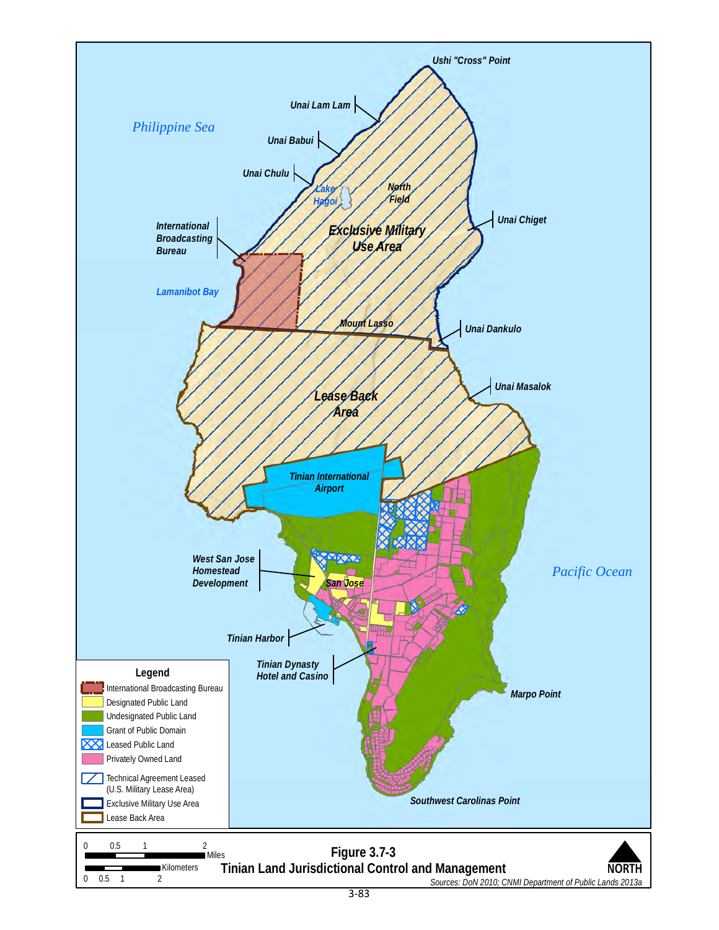<span id="page-8-0"></span>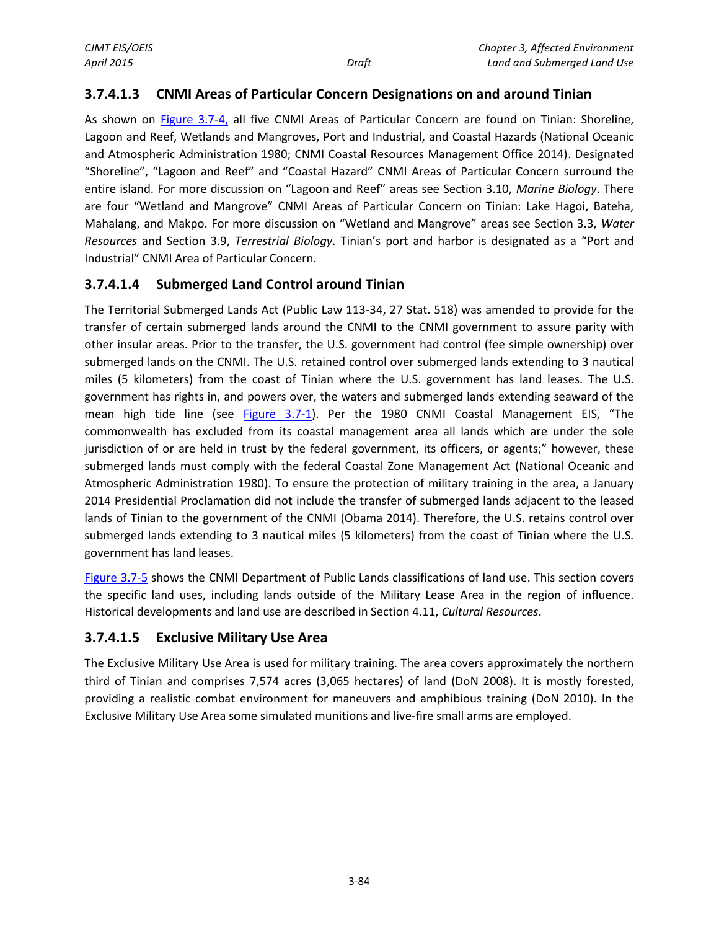#### **3.7.4.1.3 CNMI Areas of Particular Concern Designations on and around Tinian**

As shown on [Figure 3.7-4,](#page-10-0) all five CNMI Areas of Particular Concern are found on Tinian: Shoreline, Lagoon and Reef, Wetlands and Mangroves, Port and Industrial, and Coastal Hazards (National Oceanic and Atmospheric Administration 1980; CNMI Coastal Resources Management Office 2014). Designated "Shoreline", "Lagoon and Reef" and "Coastal Hazard" CNMI Areas of Particular Concern surround the entire island. For more discussion on "Lagoon and Reef" areas see Section 3.10, *Marine Biology*. There are four "Wetland and Mangrove" CNMI Areas of Particular Concern on Tinian: Lake Hagoi, Bateha, Mahalang, and Makpo. For more discussion on "Wetland and Mangrove" areas see Section 3.3, *Water Resources* and Section 3.9, *Terrestrial Biology*. Tinian's port and harbor is designated as a "Port and Industrial" CNMI Area of Particular Concern.

#### **3.7.4.1.4 Submerged Land Control around Tinian**

The Territorial Submerged Lands Act (Public Law 113-34, 27 Stat. 518) was amended to provide for the transfer of certain submerged lands around the CNMI to the CNMI government to assure parity with other insular areas. Prior to the transfer, the U.S. government had control (fee simple ownership) over submerged lands on the CNMI. The U.S. retained control over submerged lands extending to 3 nautical miles (5 kilometers) from the coast of Tinian where the U.S. government has land leases. The U.S. government has rights in, and powers over, the waters and submerged lands extending seaward of the mean high tide line (see [Figure 3.7-1\)](#page-1-0). Per the 1980 CNMI Coastal Management EIS, "The commonwealth has excluded from its coastal management area all lands which are under the sole jurisdiction of or are held in trust by the federal government, its officers, or agents;" however, these submerged lands must comply with the federal Coastal Zone Management Act (National Oceanic and Atmospheric Administration 1980). To ensure the protection of military training in the area, a January 2014 Presidential Proclamation did not include the transfer of submerged lands adjacent to the leased lands of Tinian to the government of the CNMI (Obama 2014). Therefore, the U.S. retains control over submerged lands extending to 3 nautical miles (5 kilometers) from the coast of Tinian where the U.S. government has land leases.

[Figure 3.7-5](#page-11-0) shows the CNMI Department of Public Lands classifications of land use. This section covers the specific land uses, including lands outside of the Military Lease Area in the region of influence. Historical developments and land use are described in Section 4.11, *Cultural Resources*.

#### **3.7.4.1.5 Exclusive Military Use Area**

The Exclusive Military Use Area is used for military training. The area covers approximately the northern third of Tinian and comprises 7,574 acres (3,065 hectares) of land (DoN 2008). It is mostly forested, providing a realistic combat environment for maneuvers and amphibious training (DoN 2010). In the Exclusive Military Use Area some simulated munitions and live-fire small arms are employed.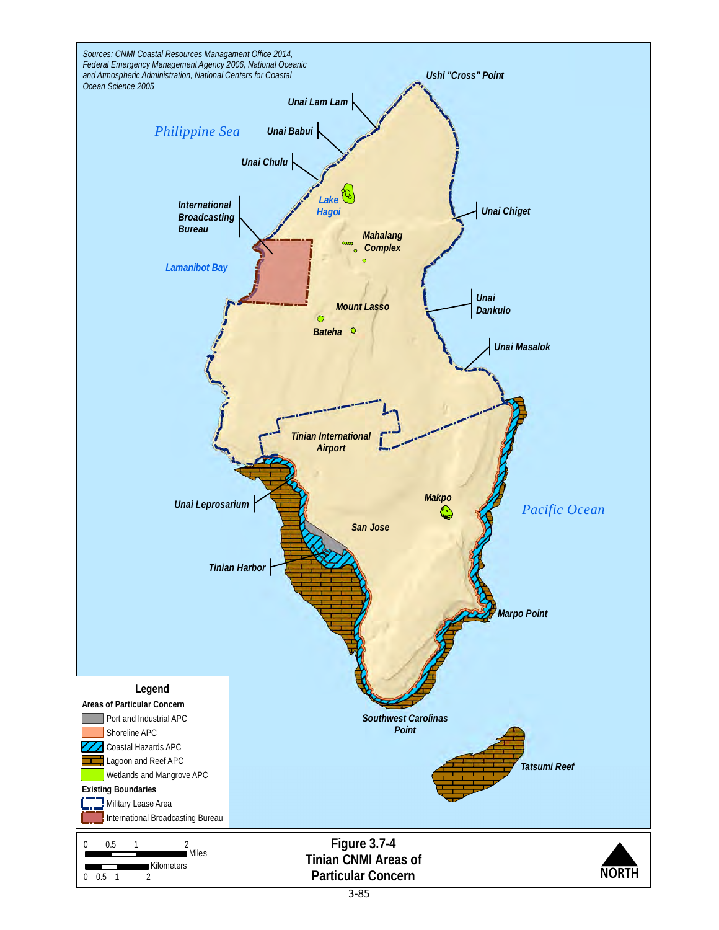<span id="page-10-0"></span>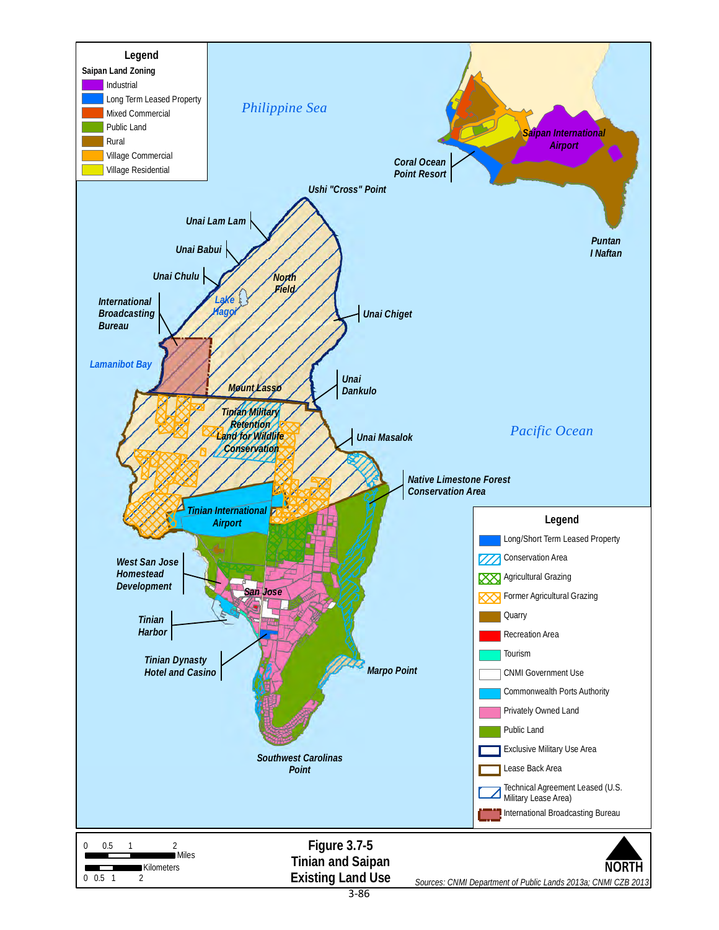<span id="page-11-0"></span>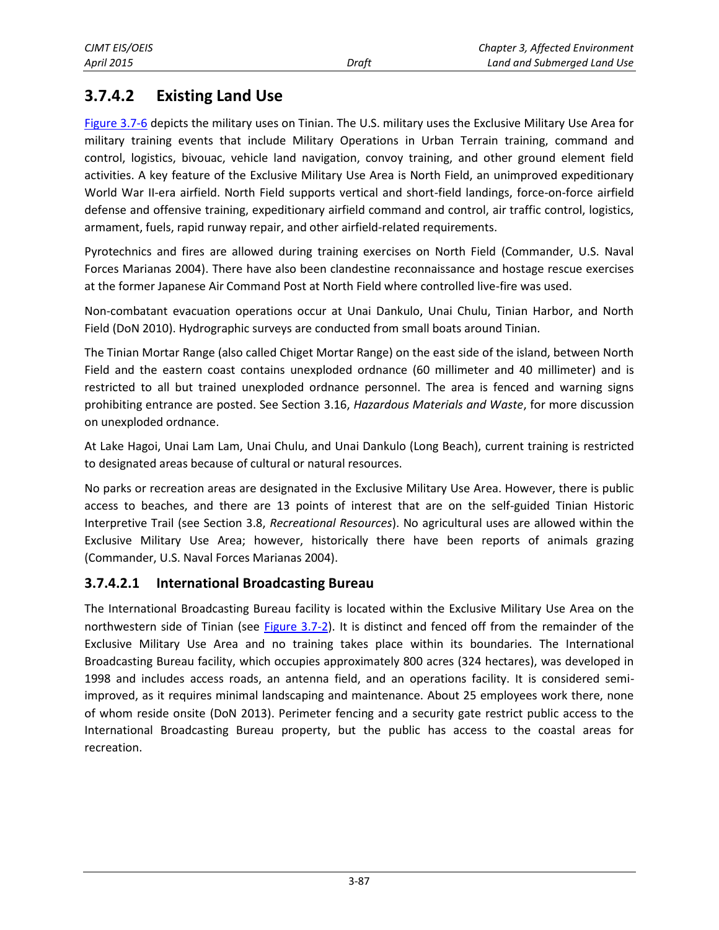## <span id="page-12-0"></span>**3.7.4.2 Existing Land Use**

[Figure 3.7-6](#page-13-0) depicts the military uses on Tinian. The U.S. military uses the Exclusive Military Use Area for military training events that include Military Operations in Urban Terrain training, command and control, logistics, bivouac, vehicle land navigation, convoy training, and other ground element field activities. A key feature of the Exclusive Military Use Area is North Field, an unimproved expeditionary World War II-era airfield. North Field supports vertical and short-field landings, force-on-force airfield defense and offensive training, expeditionary airfield command and control, air traffic control, logistics, armament, fuels, rapid runway repair, and other airfield-related requirements.

Pyrotechnics and fires are allowed during training exercises on North Field (Commander, U.S. Naval Forces Marianas 2004). There have also been clandestine reconnaissance and hostage rescue exercises at the former Japanese Air Command Post at North Field where controlled live-fire was used.

Non-combatant evacuation operations occur at Unai Dankulo, Unai Chulu, Tinian Harbor, and North Field (DoN 2010). Hydrographic surveys are conducted from small boats around Tinian.

The Tinian Mortar Range (also called Chiget Mortar Range) on the east side of the island, between North Field and the eastern coast contains unexploded ordnance (60 millimeter and 40 millimeter) and is restricted to all but trained unexploded ordnance personnel. The area is fenced and warning signs prohibiting entrance are posted. See Section 3.16, *Hazardous Materials and Waste*, for more discussion on unexploded ordnance.

At Lake Hagoi, Unai Lam Lam, Unai Chulu, and Unai Dankulo (Long Beach), current training is restricted to designated areas because of cultural or natural resources.

No parks or recreation areas are designated in the Exclusive Military Use Area. However, there is public access to beaches, and there are 13 points of interest that are on the self-guided Tinian Historic Interpretive Trail (see Section 3.8, *Recreational Resources*). No agricultural uses are allowed within the Exclusive Military Use Area; however, historically there have been reports of animals grazing (Commander, U.S. Naval Forces Marianas 2004).

#### **3.7.4.2.1 International Broadcasting Bureau**

The International Broadcasting Bureau facility is located within the Exclusive Military Use Area on the northwestern side of Tinian (see [Figure 3.7-2\)](#page-7-0). It is distinct and fenced off from the remainder of the Exclusive Military Use Area and no training takes place within its boundaries. The International Broadcasting Bureau facility, which occupies approximately 800 acres (324 hectares), was developed in 1998 and includes access roads, an antenna field, and an operations facility. It is considered semiimproved, as it requires minimal landscaping and maintenance. About 25 employees work there, none of whom reside onsite (DoN 2013). Perimeter fencing and a security gate restrict public access to the International Broadcasting Bureau property, but the public has access to the coastal areas for recreation.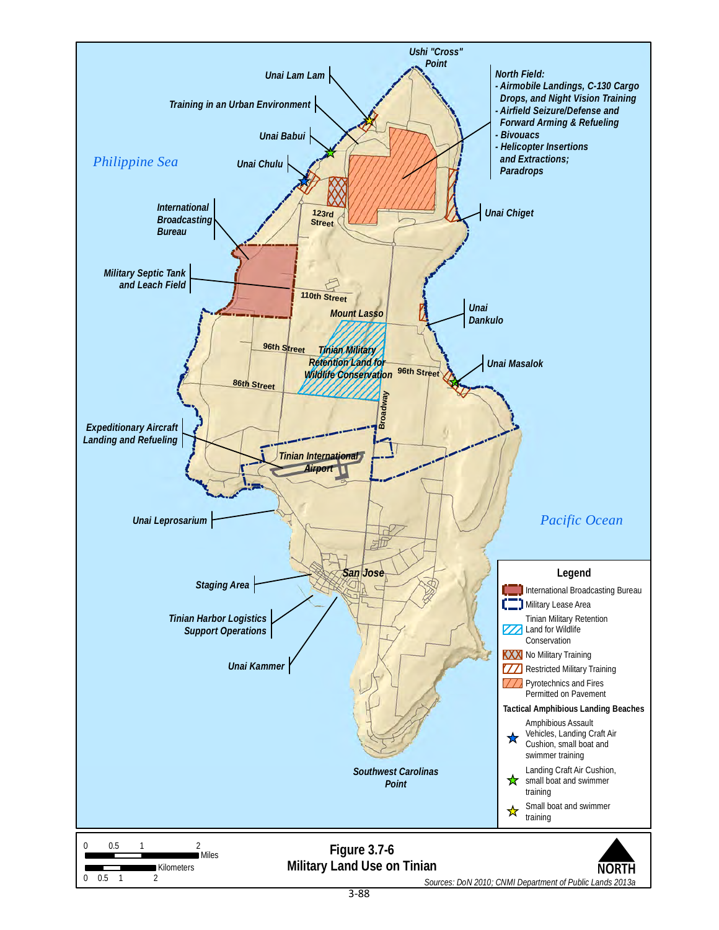<span id="page-13-0"></span>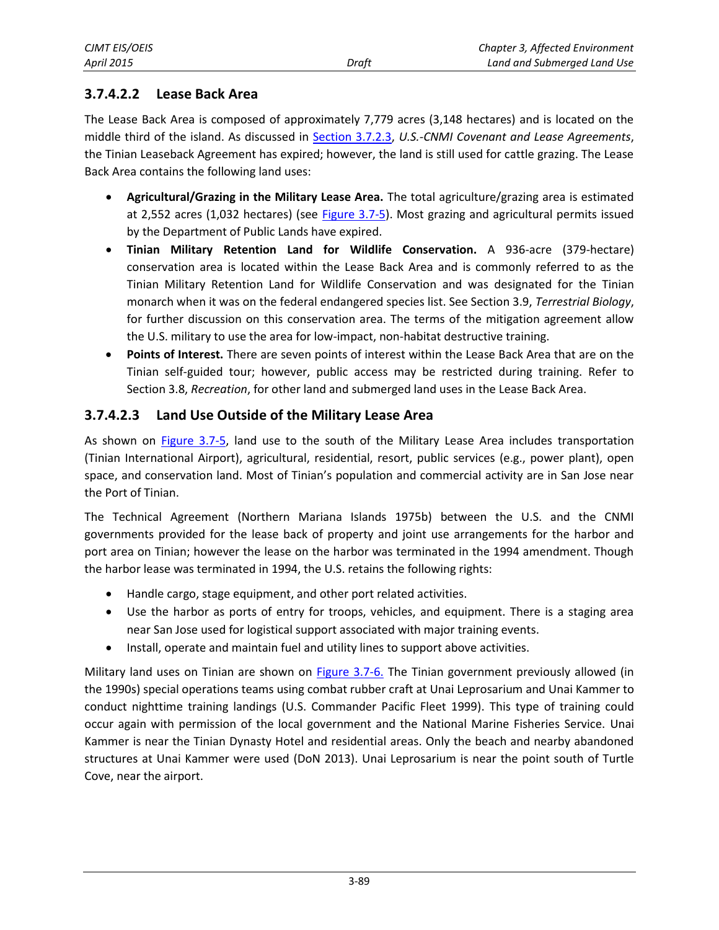#### **3.7.4.2.2 Lease Back Area**

The Lease Back Area is composed of approximately 7,779 acres (3,148 hectares) and is located on the middle third of the island. As discussed in [Section 3.7.2.3,](#page-3-0) *U.S.-CNMI Covenant and Lease Agreements*, the Tinian Leaseback Agreement has expired; however, the land is still used for cattle grazing. The Lease Back Area contains the following land uses:

- **Agricultural/Grazing in the Military Lease Area.** The total agriculture/grazing area is estimated at 2,552 acres (1,032 hectares) (see [Figure 3.7-5\)](#page-11-0). Most grazing and agricultural permits issued by the Department of Public Lands have expired.
- **Tinian Military Retention Land for Wildlife Conservation.** A 936-acre (379-hectare) conservation area is located within the Lease Back Area and is commonly referred to as the Tinian Military Retention Land for Wildlife Conservation and was designated for the Tinian monarch when it was on the federal endangered species list. See Section 3.9, *Terrestrial Biology*, for further discussion on this conservation area. The terms of the mitigation agreement allow the U.S. military to use the area for low-impact, non-habitat destructive training.
- **Points of Interest.** There are seven points of interest within the Lease Back Area that are on the Tinian self-guided tour; however, public access may be restricted during training. Refer to Section 3.8, *Recreation*, for other land and submerged land uses in the Lease Back Area.

#### **3.7.4.2.3 Land Use Outside of the Military Lease Area**

As shown on [Figure 3.7-5,](#page-11-0) land use to the south of the Military Lease Area includes transportation (Tinian International Airport), agricultural, residential, resort, public services (e.g., power plant), open space, and conservation land. Most of Tinian's population and commercial activity are in San Jose near the Port of Tinian.

The Technical Agreement (Northern Mariana Islands 1975b) between the U.S. and the CNMI governments provided for the lease back of property and joint use arrangements for the harbor and port area on Tinian; however the lease on the harbor was terminated in the 1994 amendment. Though the harbor lease was terminated in 1994, the U.S. retains the following rights:

- Handle cargo, stage equipment, and other port related activities.
- Use the harbor as ports of entry for troops, vehicles, and equipment. There is a staging area near San Jose used for logistical support associated with major training events.
- Install, operate and maintain fuel and utility lines to support above activities.

Military land uses on Tinian are shown on [Figure 3.7-6.](#page-13-0) The Tinian government previously allowed (in the 1990s) special operations teams using combat rubber craft at Unai Leprosarium and Unai Kammer to conduct nighttime training landings (U.S. Commander Pacific Fleet 1999). This type of training could occur again with permission of the local government and the National Marine Fisheries Service. Unai Kammer is near the Tinian Dynasty Hotel and residential areas. Only the beach and nearby abandoned structures at Unai Kammer were used (DoN 2013). Unai Leprosarium is near the point south of Turtle Cove, near the airport.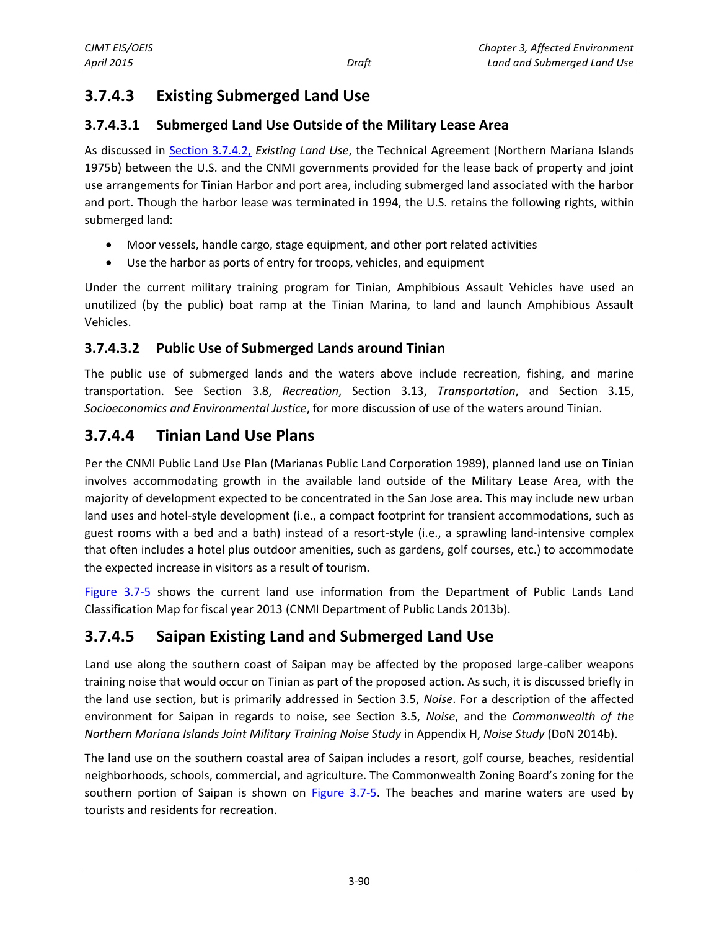## **3.7.4.3 Existing Submerged Land Use**

#### **3.7.4.3.1 Submerged Land Use Outside of the Military Lease Area**

As discussed in [Section 3.7.4.2,](#page-12-0) *Existing Land Use*, the Technical Agreement (Northern Mariana Islands 1975b) between the U.S. and the CNMI governments provided for the lease back of property and joint use arrangements for Tinian Harbor and port area, including submerged land associated with the harbor and port. Though the harbor lease was terminated in 1994, the U.S. retains the following rights, within submerged land:

- Moor vessels, handle cargo, stage equipment, and other port related activities
- Use the harbor as ports of entry for troops, vehicles, and equipment

Under the current military training program for Tinian, Amphibious Assault Vehicles have used an unutilized (by the public) boat ramp at the Tinian Marina, to land and launch Amphibious Assault Vehicles.

#### **3.7.4.3.2 Public Use of Submerged Lands around Tinian**

The public use of submerged lands and the waters above include recreation, fishing, and marine transportation. See Section 3.8, *Recreation*, Section 3.13, *Transportation*, and Section 3.15, *Socioeconomics and Environmental Justice*, for more discussion of use of the waters around Tinian.

## **3.7.4.4 Tinian Land Use Plans**

Per the CNMI Public Land Use Plan (Marianas Public Land Corporation 1989), planned land use on Tinian involves accommodating growth in the available land outside of the Military Lease Area, with the majority of development expected to be concentrated in the San Jose area. This may include new urban land uses and hotel-style development (i.e., a compact footprint for transient accommodations, such as guest rooms with a bed and a bath) instead of a resort-style (i.e., a sprawling land-intensive complex that often includes a hotel plus outdoor amenities, such as gardens, golf courses, etc.) to accommodate the expected increase in visitors as a result of tourism.

[Figure 3.7-5](#page-11-0) shows the current land use information from the Department of Public Lands Land Classification Map for fiscal year 2013 (CNMI Department of Public Lands 2013b).

## **3.7.4.5 Saipan Existing Land and Submerged Land Use**

Land use along the southern coast of Saipan may be affected by the proposed large-caliber weapons training noise that would occur on Tinian as part of the proposed action. As such, it is discussed briefly in the land use section, but is primarily addressed in Section 3.5, *Noise*. For a description of the affected environment for Saipan in regards to noise, see Section 3.5, *Noise*, and the *Commonwealth of the Northern Mariana Islands Joint Military Training Noise Study* in Appendix H, *Noise Study* (DoN 2014b).

The land use on the southern coastal area of Saipan includes a resort, golf course, beaches, residential neighborhoods, schools, commercial, and agriculture. The Commonwealth Zoning Board's zoning for the southern portion of Saipan is shown on  $Figure 3.7-5$ . The beaches and marine waters are used by tourists and residents for recreation.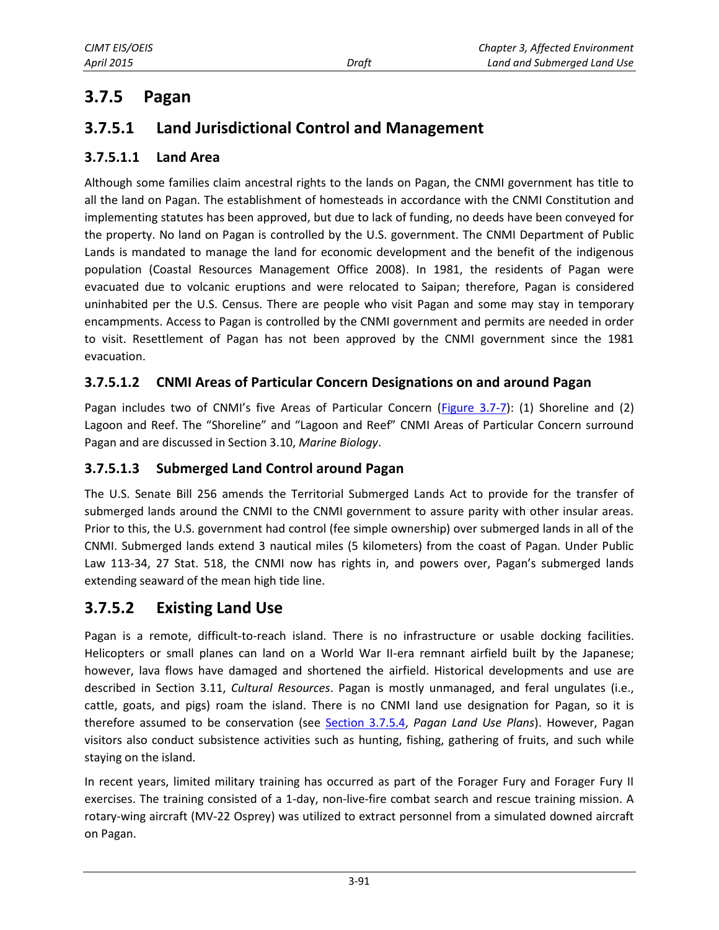## **3.7.5 Pagan**

## **3.7.5.1 Land Jurisdictional Control and Management**

#### **3.7.5.1.1 Land Area**

Although some families claim ancestral rights to the lands on Pagan, the CNMI government has title to all the land on Pagan. The establishment of homesteads in accordance with the CNMI Constitution and implementing statutes has been approved, but due to lack of funding, no deeds have been conveyed for the property. No land on Pagan is controlled by the U.S. government. The CNMI Department of Public Lands is mandated to manage the land for economic development and the benefit of the indigenous population (Coastal Resources Management Office 2008). In 1981, the residents of Pagan were evacuated due to volcanic eruptions and were relocated to Saipan; therefore, Pagan is considered uninhabited per the U.S. Census. There are people who visit Pagan and some may stay in temporary encampments. Access to Pagan is controlled by the CNMI government and permits are needed in order to visit. Resettlement of Pagan has not been approved by the CNMI government since the 1981 evacuation.

#### **3.7.5.1.2 CNMI Areas of Particular Concern Designations on and around Pagan**

Pagan includes two of CNMI's five Areas of Particular Concern [\(Figure 3.7-7\)](#page-17-0): (1) Shoreline and (2) Lagoon and Reef. The "Shoreline" and "Lagoon and Reef" CNMI Areas of Particular Concern surround Pagan and are discussed in Section 3.10, *Marine Biology*.

#### **3.7.5.1.3 Submerged Land Control around Pagan**

The U.S. Senate Bill 256 amends the Territorial Submerged Lands Act to provide for the transfer of submerged lands around the CNMI to the CNMI government to assure parity with other insular areas. Prior to this, the U.S. government had control (fee simple ownership) over submerged lands in all of the CNMI. Submerged lands extend 3 nautical miles (5 kilometers) from the coast of Pagan. Under Public Law 113-34, 27 Stat. 518, the CNMI now has rights in, and powers over, Pagan's submerged lands extending seaward of the mean high tide line.

## **3.7.5.2 Existing Land Use**

Pagan is a remote, difficult-to-reach island. There is no infrastructure or usable docking facilities. Helicopters or small planes can land on a World War II-era remnant airfield built by the Japanese; however, lava flows have damaged and shortened the airfield. Historical developments and use are described in Section 3.11, *Cultural Resources*. Pagan is mostly unmanaged, and feral ungulates (i.e., cattle, goats, and pigs) roam the island. There is no CNMI land use designation for Pagan, so it is therefore assumed to be conservation (see [Section 3.7.5.4,](#page-18-0) *Pagan Land Use Plans*). However, Pagan visitors also conduct subsistence activities such as hunting, fishing, gathering of fruits, and such while staying on the island.

In recent years, limited military training has occurred as part of the Forager Fury and Forager Fury II exercises. The training consisted of a 1-day, non-live-fire combat search and rescue training mission. A rotary-wing aircraft (MV-22 Osprey) was utilized to extract personnel from a simulated downed aircraft on Pagan.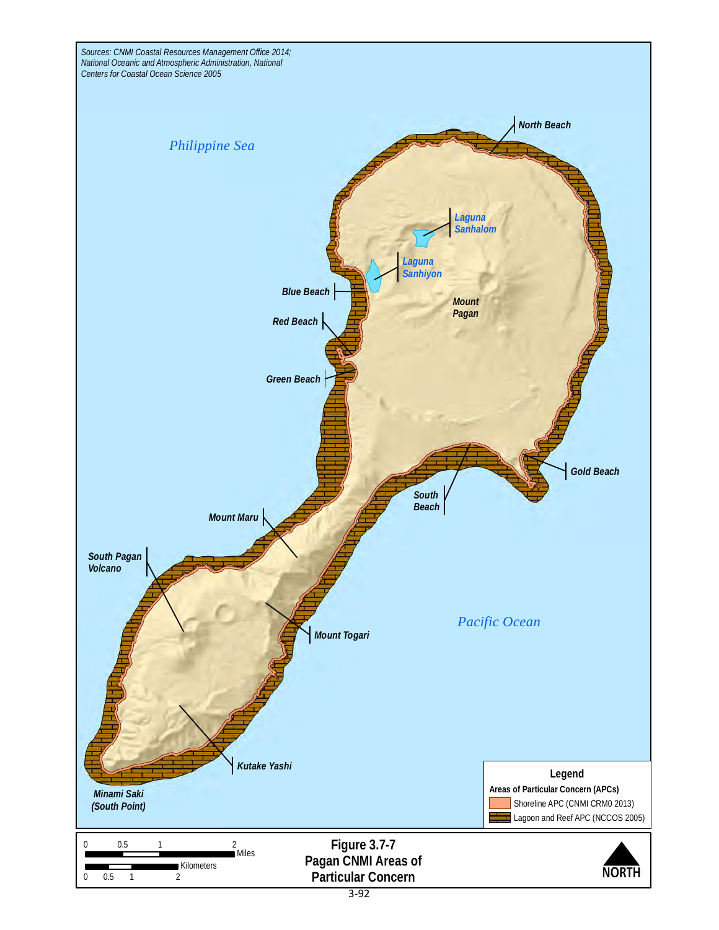<span id="page-17-0"></span>